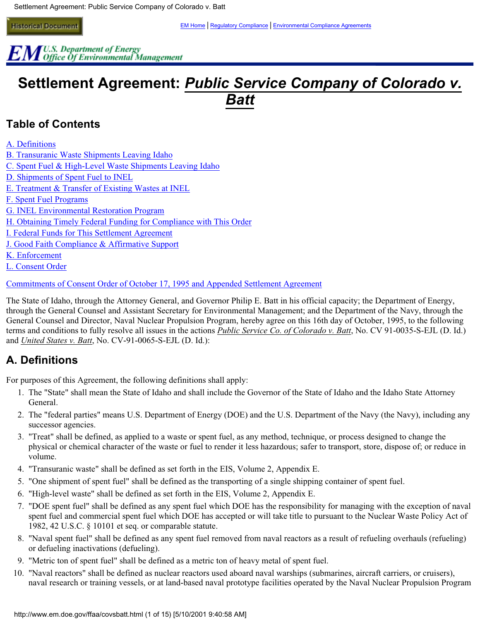$EM$ <sup>U.S.</sup> Department of Energy<br> $EM$  Office Of Environmental Management

# **Settlement Agreement: Public Service Company of Colorado v. Batt**

# <span id="page-0-1"></span>**Table of Contents**

[A. Definitions](#page-0-0)

[B. Transuranic Waste Shipments Leaving Idaho](#page-1-0)

[C. Spent Fuel & High-Level Waste Shipments Leaving Idaho](#page-1-1)

[D. Shipments of Spent Fuel to INEL](#page-1-2) 

[E. Treatment & Transfer of Existing Wastes at INEL](#page-3-0)

[F. Spent Fuel Programs](#page-4-0)

[G. INEL Environmental Restoration Program](#page-4-1) 

[H. Obtaining Timely Federal Funding for Compliance with This Order](#page-5-0)

[I. Federal Funds for This Settlement Agreement](#page-5-1)

[J. Good Faith Compliance & Affirmative Support](#page-5-2)

[K. Enforcement](#page-6-0) 

[L. Consent Order](#page-6-1) 

[Commitments of Consent Order of October 17, 1995 and Appended Settlement Agreement](#page-13-0) 

The State of Idaho, through the Attorney General, and Governor Philip E. Batt in his official capacity; the Department of Energy, through the General Counsel and Assistant Secretary for Environmental Management; and the Department of the Navy, through the General Counsel and Director, Naval Nuclear Propulsion Program, hereby agree on this 16th day of October, 1995, to the following terms and conditions to fully resolve all issues in the actions *Public Service Co. of Colorado v. Batt*, No. CV 91-0035-S-EJL (D. Id.) and *United States v. Batt*, No. CV-91-0065-S-EJL (D. Id.):

# <span id="page-0-0"></span>**A. Definitions**

For purposes of this Agreement, the following definitions shall apply:

- 1. The "State" shall mean the State of Idaho and shall include the Governor of the State of Idaho and the Idaho State Attorney General.
- 2. The "federal parties" means U.S. Department of Energy (DOE) and the U.S. Department of the Navy (the Navy), including any successor agencies.
- 3. "Treat" shall be defined, as applied to a waste or spent fuel, as any method, technique, or process designed to change the physical or chemical character of the waste or fuel to render it less hazardous; safer to transport, store, dispose of; or reduce in volume.
- 4. "Transuranic waste" shall be defined as set forth in the EIS, Volume 2, Appendix E.
- 5. "One shipment of spent fuel" shall be defined as the transporting of a single shipping container of spent fuel.
- 6. "High-level waste" shall be defined as set forth in the EIS, Volume 2, Appendix E.
- 7. "DOE spent fuel" shall be defined as any spent fuel which DOE has the responsibility for managing with the exception of naval spent fuel and commercial spent fuel which DOE has accepted or will take title to pursuant to the Nuclear Waste Policy Act of 1982, 42 U.S.C. § 10101 et seq. or comparable statute.
- 8. "Naval spent fuel" shall be defined as any spent fuel removed from naval reactors as a result of refueling overhauls (refueling) or defueling inactivations (defueling).
- 9. "Metric ton of spent fuel" shall be defined as a metric ton of heavy metal of spent fuel.
- 10. "Naval reactors" shall be defined as nuclear reactors used aboard naval warships (submarines, aircraft carriers, or cruisers), naval research or training vessels, or at land-based naval prototype facilities operated by the Naval Nuclear Propulsion Program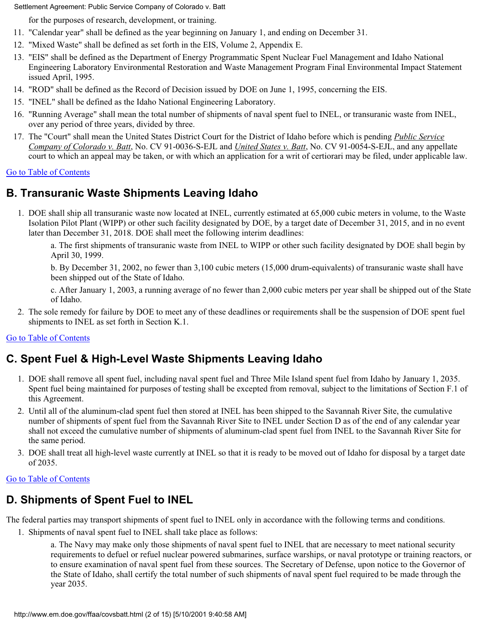for the purposes of research, development, or training.

- 11. "Calendar year" shall be defined as the year beginning on January 1, and ending on December 31.
- 12. "Mixed Waste" shall be defined as set forth in the EIS, Volume 2, Appendix E.
- 13. "EIS" shall be defined as the Department of Energy Programmatic Spent Nuclear Fuel Management and Idaho National Engineering Laboratory Environmental Restoration and Waste Management Program Final Environmental Impact Statement issued April, 1995.
- 14. "ROD" shall be defined as the Record of Decision issued by DOE on June 1, 1995, concerning the EIS.
- 15. "INEL" shall be defined as the Idaho National Engineering Laboratory.
- 16. "Running Average" shall mean the total number of shipments of naval spent fuel to INEL, or transuranic waste from INEL, over any period of three years, divided by three.
- 17. The "Court" shall mean the United States District Court for the District of Idaho before which is pending *Public Service Company of Colorado v. Batt*, No. CV 91-0036-S-EJL and *United States v. Batt*, No. CV 91-0054-S-EJL, and any appellate court to which an appeal may be taken, or with which an application for a writ of certiorari may be filed, under applicable law.

### [Go to Table of Contents](#page-0-1)

# <span id="page-1-0"></span>**B. Transuranic Waste Shipments Leaving Idaho**

1. DOE shall ship all transuranic waste now located at INEL, currently estimated at 65,000 cubic meters in volume, to the Waste Isolation Pilot Plant (WIPP) or other such facility designated by DOE, by a target date of December 31, 2015, and in no event later than December 31, 2018. DOE shall meet the following interim deadlines:

a. The first shipments of transuranic waste from INEL to WIPP or other such facility designated by DOE shall begin by April 30, 1999.

b. By December 31, 2002, no fewer than 3,100 cubic meters (15,000 drum-equivalents) of transuranic waste shall have been shipped out of the State of Idaho.

c. After January 1, 2003, a running average of no fewer than 2,000 cubic meters per year shall be shipped out of the State of Idaho.

2. The sole remedy for failure by DOE to meet any of these deadlines or requirements shall be the suspension of DOE spent fuel shipments to INEL as set forth in Section K.1.

### [Go to Table of Contents](#page-0-1)

# <span id="page-1-1"></span>**C. Spent Fuel & High-Level Waste Shipments Leaving Idaho**

- 1. DOE shall remove all spent fuel, including naval spent fuel and Three Mile Island spent fuel from Idaho by January 1, 2035. Spent fuel being maintained for purposes of testing shall be excepted from removal, subject to the limitations of Section F.1 of this Agreement.
- 2. Until all of the aluminum-clad spent fuel then stored at INEL has been shipped to the Savannah River Site, the cumulative number of shipments of spent fuel from the Savannah River Site to INEL under Section D as of the end of any calendar year shall not exceed the cumulative number of shipments of aluminum-clad spent fuel from INEL to the Savannah River Site for the same period.
- 3. DOE shall treat all high-level waste currently at INEL so that it is ready to be moved out of Idaho for disposal by a target date of 2035.

#### [Go to Table of Contents](#page-0-1)

# <span id="page-1-2"></span>**D. Shipments of Spent Fuel to INEL**

The federal parties may transport shipments of spent fuel to INEL only in accordance with the following terms and conditions.

1. Shipments of naval spent fuel to INEL shall take place as follows:

a. The Navy may make only those shipments of naval spent fuel to INEL that are necessary to meet national security requirements to defuel or refuel nuclear powered submarines, surface warships, or naval prototype or training reactors, or to ensure examination of naval spent fuel from these sources. The Secretary of Defense, upon notice to the Governor of the State of Idaho, shall certify the total number of such shipments of naval spent fuel required to be made through the year 2035.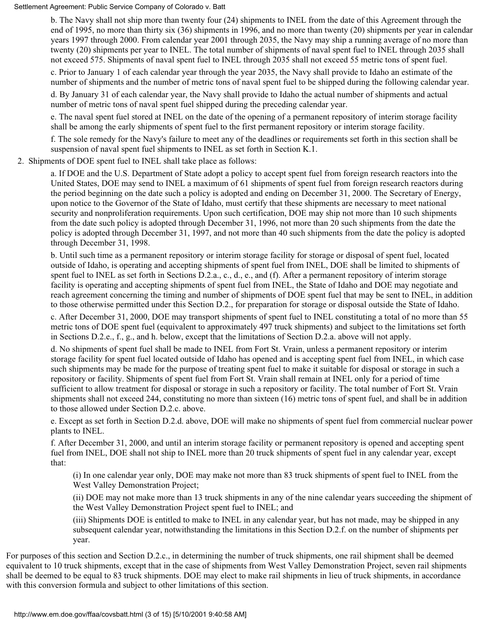b. The Navy shall not ship more than twenty four (24) shipments to INEL from the date of this Agreement through the end of 1995, no more than thirty six (36) shipments in 1996, and no more than twenty (20) shipments per year in calendar years 1997 through 2000. From calendar year 2001 through 2035, the Navy may ship a running average of no more than twenty (20) shipments per year to INEL. The total number of shipments of naval spent fuel to INEL through 2035 shall not exceed 575. Shipments of naval spent fuel to INEL through 2035 shall not exceed 55 metric tons of spent fuel.

c. Prior to January 1 of each calendar year through the year 2035, the Navy shall provide to Idaho an estimate of the number of shipments and the number of metric tons of naval spent fuel to be shipped during the following calendar year.

d. By January 31 of each calendar year, the Navy shall provide to Idaho the actual number of shipments and actual number of metric tons of naval spent fuel shipped during the preceding calendar year.

e. The naval spent fuel stored at INEL on the date of the opening of a permanent repository of interim storage facility shall be among the early shipments of spent fuel to the first permanent repository or interim storage facility.

f. The sole remedy for the Navy's failure to meet any of the deadlines or requirements set forth in this section shall be suspension of naval spent fuel shipments to INEL as set forth in Section K.1.

2. Shipments of DOE spent fuel to INEL shall take place as follows:

a. If DOE and the U.S. Department of State adopt a policy to accept spent fuel from foreign research reactors into the United States, DOE may send to INEL a maximum of 61 shipments of spent fuel from foreign research reactors during the period beginning on the date such a policy is adopted and ending on December 31, 2000. The Secretary of Energy, upon notice to the Governor of the State of Idaho, must certify that these shipments are necessary to meet national security and nonproliferation requirements. Upon such certification, DOE may ship not more than 10 such shipments from the date such policy is adopted through December 31, 1996, not more than 20 such shipments from the date the policy is adopted through December 31, 1997, and not more than 40 such shipments from the date the policy is adopted through December 31, 1998.

b. Until such time as a permanent repository or interim storage facility for storage or disposal of spent fuel, located outside of Idaho, is operating and accepting shipments of spent fuel from INEL, DOE shall be limited to shipments of spent fuel to INEL as set forth in Sections D.2.a., c., d., e., and (f). After a permanent repository of interim storage facility is operating and accepting shipments of spent fuel from INEL, the State of Idaho and DOE may negotiate and reach agreement concerning the timing and number of shipments of DOE spent fuel that may be sent to INEL, in addition to those otherwise permitted under this Section D.2., for preparation for storage or disposal outside the State of Idaho.

c. After December 31, 2000, DOE may transport shipments of spent fuel to INEL constituting a total of no more than 55 metric tons of DOE spent fuel (equivalent to approximately 497 truck shipments) and subject to the limitations set forth in Sections D.2.e., f., g., and h. below, except that the limitations of Section D.2.a. above will not apply.

d. No shipments of spent fuel shall be made to INEL from Fort St. Vrain, unless a permanent repository or interim storage facility for spent fuel located outside of Idaho has opened and is accepting spent fuel from INEL, in which case such shipments may be made for the purpose of treating spent fuel to make it suitable for disposal or storage in such a repository or facility. Shipments of spent fuel from Fort St. Vrain shall remain at INEL only for a period of time sufficient to allow treatment for disposal or storage in such a repository or facility. The total number of Fort St. Vrain shipments shall not exceed 244, constituting no more than sixteen (16) metric tons of spent fuel, and shall be in addition to those allowed under Section D.2.c. above.

e. Except as set forth in Section D.2.d. above, DOE will make no shipments of spent fuel from commercial nuclear power plants to INEL.

f. After December 31, 2000, and until an interim storage facility or permanent repository is opened and accepting spent fuel from INEL, DOE shall not ship to INEL more than 20 truck shipments of spent fuel in any calendar year, except that:

(i) In one calendar year only, DOE may make not more than 83 truck shipments of spent fuel to INEL from the West Valley Demonstration Project;

(ii) DOE may not make more than 13 truck shipments in any of the nine calendar years succeeding the shipment of the West Valley Demonstration Project spent fuel to INEL; and

(iii) Shipments DOE is entitled to make to INEL in any calendar year, but has not made, may be shipped in any subsequent calendar year, notwithstanding the limitations in this Section D.2.f. on the number of shipments per year.

For purposes of this section and Section D.2.c., in determining the number of truck shipments, one rail shipment shall be deemed equivalent to 10 truck shipments, except that in the case of shipments from West Valley Demonstration Project, seven rail shipments shall be deemed to be equal to 83 truck shipments. DOE may elect to make rail shipments in lieu of truck shipments, in accordance with this conversion formula and subject to other limitations of this section.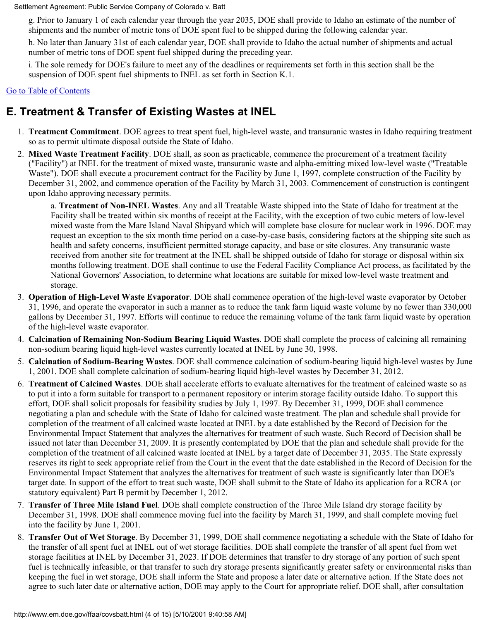g. Prior to January 1 of each calendar year through the year 2035, DOE shall provide to Idaho an estimate of the number of shipments and the number of metric tons of DOE spent fuel to be shipped during the following calendar year.

h. No later than January 31st of each calendar year, DOE shall provide to Idaho the actual number of shipments and actual number of metric tons of DOE spent fuel shipped during the preceding year.

i. The sole remedy for DOE's failure to meet any of the deadlines or requirements set forth in this section shall be the suspension of DOE spent fuel shipments to INEL as set forth in Section K.1.

### [Go to Table of Contents](#page-0-1)

# <span id="page-3-0"></span>**E. Treatment & Transfer of Existing Wastes at INEL**

- 1. **Treatment Commitment**. DOE agrees to treat spent fuel, high-level waste, and transuranic wastes in Idaho requiring treatment so as to permit ultimate disposal outside the State of Idaho.
- 2. **Mixed Waste Treatment Facility**. DOE shall, as soon as practicable, commence the procurement of a treatment facility ("Facility") at INEL for the treatment of mixed waste, transuranic waste and alpha-emitting mixed low-level waste ("Treatable Waste"). DOE shall execute a procurement contract for the Facility by June 1, 1997, complete construction of the Facility by December 31, 2002, and commence operation of the Facility by March 31, 2003. Commencement of construction is contingent upon Idaho approving necessary permits.

a. **Treatment of Non-INEL Wastes**. Any and all Treatable Waste shipped into the State of Idaho for treatment at the Facility shall be treated within six months of receipt at the Facility, with the exception of two cubic meters of low-level mixed waste from the Mare Island Naval Shipyard which will complete base closure for nuclear work in 1996. DOE may request an exception to the six month time period on a case-by-case basis, considering factors at the shipping site such as health and safety concerns, insufficient permitted storage capacity, and base or site closures. Any transuranic waste received from another site for treatment at the INEL shall be shipped outside of Idaho for storage or disposal within six months following treatment. DOE shall continue to use the Federal Facility Compliance Act process, as facilitated by the National Governors' Association, to determine what locations are suitable for mixed low-level waste treatment and storage.

- 3. **Operation of High-Level Waste Evaporator**. DOE shall commence operation of the high-level waste evaporator by October 31, 1996, and operate the evaporator in such a manner as to reduce the tank farm liquid waste volume by no fewer than 330,000 gallons by December 31, 1997. Efforts will continue to reduce the remaining volume of the tank farm liquid waste by operation of the high-level waste evaporator.
- 4. **Calcination of Remaining Non-Sodium Bearing Liquid Wastes**. DOE shall complete the process of calcining all remaining non-sodium bearing liquid high-level wastes currently located at INEL by June 30, 1998.
- 5. **Calcination of Sodium-Bearing Wastes**. DOE shall commence calcination of sodium-bearing liquid high-level wastes by June 1, 2001. DOE shall complete calcination of sodium-bearing liquid high-level wastes by December 31, 2012.
- 6. **Treatment of Calcined Wastes**. DOE shall accelerate efforts to evaluate alternatives for the treatment of calcined waste so as to put it into a form suitable for transport to a permanent repository or interim storage facility outside Idaho. To support this effort, DOE shall solicit proposals for feasibility studies by July 1, 1997. By December 31, 1999, DOE shall commence negotiating a plan and schedule with the State of Idaho for calcined waste treatment. The plan and schedule shall provide for completion of the treatment of all calcined waste located at INEL by a date established by the Record of Decision for the Environmental Impact Statement that analyzes the alternatives for treatment of such waste. Such Record of Decision shall be issued not later than December 31, 2009. It is presently contemplated by DOE that the plan and schedule shall provide for the completion of the treatment of all calcined waste located at INEL by a target date of December 31, 2035. The State expressly reserves its right to seek appropriate relief from the Court in the event that the date established in the Record of Decision for the Environmental Impact Statement that analyzes the alternatives for treatment of such waste is significantly later than DOE's target date. In support of the effort to treat such waste, DOE shall submit to the State of Idaho its application for a RCRA (or statutory equivalent) Part B permit by December 1, 2012.
- 7. **Transfer of Three Mile Island Fuel**. DOE shall complete construction of the Three Mile Island dry storage facility by December 31, 1998. DOE shall commence moving fuel into the facility by March 31, 1999, and shall complete moving fuel into the facility by June 1, 2001.
- 8. **Transfer Out of Wet Storage**. By December 31, 1999, DOE shall commence negotiating a schedule with the State of Idaho for the transfer of all spent fuel at INEL out of wet storage facilities. DOE shall complete the transfer of all spent fuel from wet storage facilities at INEL by December 31, 2023. If DOE determines that transfer to dry storage of any portion of such spent fuel is technically infeasible, or that transfer to such dry storage presents significantly greater safety or environmental risks than keeping the fuel in wet storage, DOE shall inform the State and propose a later date or alternative action. If the State does not agree to such later date or alternative action, DOE may apply to the Court for appropriate relief. DOE shall, after consultation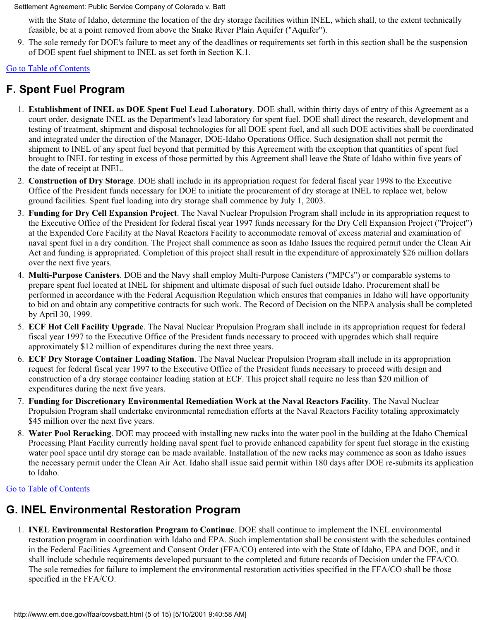with the State of Idaho, determine the location of the dry storage facilities within INEL, which shall, to the extent technically feasible, be at a point removed from above the Snake River Plain Aquifer ("Aquifer").

9. The sole remedy for DOE's failure to meet any of the deadlines or requirements set forth in this section shall be the suspension of DOE spent fuel shipment to INEL as set forth in Section K.1.

### [Go to Table of Contents](#page-0-1)

# <span id="page-4-0"></span>**F. Spent Fuel Program**

- 1. **Establishment of INEL as DOE Spent Fuel Lead Laboratory**. DOE shall, within thirty days of entry of this Agreement as a court order, designate INEL as the Department's lead laboratory for spent fuel. DOE shall direct the research, development and testing of treatment, shipment and disposal technologies for all DOE spent fuel, and all such DOE activities shall be coordinated and integrated under the direction of the Manager, DOE-Idaho Operations Office. Such designation shall not permit the shipment to INEL of any spent fuel beyond that permitted by this Agreement with the exception that quantities of spent fuel brought to INEL for testing in excess of those permitted by this Agreement shall leave the State of Idaho within five years of the date of receipt at INEL.
- 2. **Construction of Dry Storage**. DOE shall include in its appropriation request for federal fiscal year 1998 to the Executive Office of the President funds necessary for DOE to initiate the procurement of dry storage at INEL to replace wet, below ground facilities. Spent fuel loading into dry storage shall commence by July 1, 2003.
- 3. **Funding for Dry Cell Expansion Project**. The Naval Nuclear Propulsion Program shall include in its appropriation request to the Executive Office of the President for federal fiscal year 1997 funds necessary for the Dry Cell Expansion Project ("Project") at the Expended Core Facility at the Naval Reactors Facility to accommodate removal of excess material and examination of naval spent fuel in a dry condition. The Project shall commence as soon as Idaho Issues the required permit under the Clean Air Act and funding is appropriated. Completion of this project shall result in the expenditure of approximately \$26 million dollars over the next five years.
- 4. **Multi-Purpose Canisters**. DOE and the Navy shall employ Multi-Purpose Canisters ("MPCs") or comparable systems to prepare spent fuel located at INEL for shipment and ultimate disposal of such fuel outside Idaho. Procurement shall be performed in accordance with the Federal Acquisition Regulation which ensures that companies in Idaho will have opportunity to bid on and obtain any competitive contracts for such work. The Record of Decision on the NEPA analysis shall be completed by April 30, 1999.
- 5. **ECF Hot Cell Facility Upgrade**. The Naval Nuclear Propulsion Program shall include in its appropriation request for federal fiscal year 1997 to the Executive Office of the President funds necessary to proceed with upgrades which shall require approximately \$12 million of expenditures during the next three years.
- 6. **ECF Dry Storage Container Loading Station**. The Naval Nuclear Propulsion Program shall include in its appropriation request for federal fiscal year 1997 to the Executive Office of the President funds necessary to proceed with design and construction of a dry storage container loading station at ECF. This project shall require no less than \$20 million of expenditures during the next five years.
- 7. **Funding for Discretionary Environmental Remediation Work at the Naval Reactors Facility**. The Naval Nuclear Propulsion Program shall undertake environmental remediation efforts at the Naval Reactors Facility totaling approximately \$45 million over the next five years.
- 8. **Water Pool Reracking**. DOE may proceed with installing new racks into the water pool in the building at the Idaho Chemical Processing Plant Facility currently holding naval spent fuel to provide enhanced capability for spent fuel storage in the existing water pool space until dry storage can be made available. Installation of the new racks may commence as soon as Idaho issues the necessary permit under the Clean Air Act. Idaho shall issue said permit within 180 days after DOE re-submits its application to Idaho.

### [Go to Table of Contents](#page-0-1)

# <span id="page-4-1"></span>**G. INEL Environmental Restoration Program**

1. **INEL Environmental Restoration Program to Continue**. DOE shall continue to implement the INEL environmental restoration program in coordination with Idaho and EPA. Such implementation shall be consistent with the schedules contained in the Federal Facilities Agreement and Consent Order (FFA/CO) entered into with the State of Idaho, EPA and DOE, and it shall include schedule requirements developed pursuant to the completed and future records of Decision under the FFA/CO. The sole remedies for failure to implement the environmental restoration activities specified in the FFA/CO shall be those specified in the FFA/CO.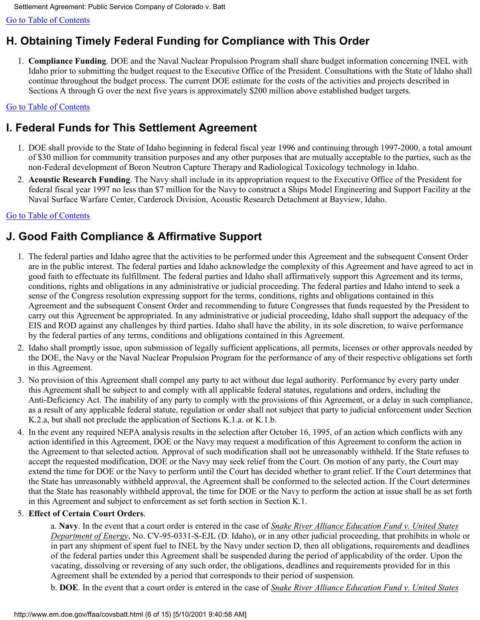[Go to Table of Contents](#page-0-1) 

# <span id="page-5-0"></span>**H. Obtaining Timely Federal Funding for Compliance with This Order**

1. **Compliance Funding**. DOE and the Naval Nuclear Propulsion Program shall share budget information concerning INEL with Idaho prior to submitting the budget request to the Executive Office of the President. Consultations with the State of Idaho shall continue throughout the budget process. The current DOE estimate for the costs of the activities and projects described in Sections A through G over the next five years is approximately \$200 million above established budget targets.

### [Go to Table of Contents](#page-0-1)

# <span id="page-5-1"></span>**I. Federal Funds for This Settlement Agreement**

- 1. DOE shall provide to the State of Idaho beginning in federal fiscal year 1996 and continuing through 1997-2000, a total amount of \$30 million for community transition purposes and any other purposes that are mutually acceptable to the parties, such as the non-Federal development of Boron Neutron Capture Therapy and Radiological Toxicology technology in Idaho.
- 2. **Acoustic Research Funding**. The Navy shall include in its appropriation request to the Executive Office of the President for federal fiscal year 1997 no less than \$7 million for the Navy to construct a Ships Model Engineering and Support Facility at the Naval Surface Warfare Center, Carderock Division, Acoustic Research Detachment at Bayview, Idaho.

### [Go to Table of Contents](#page-0-1)

# <span id="page-5-2"></span>**J. Good Faith Compliance & Affirmative Support**

- 1. The federal parties and Idaho agree that the activities to be performed under this Agreement and the subsequent Consent Order are in the public interest. The federal parties and Idaho acknowledge the complexity of this Agreement and have agreed to act in good faith to effectuate its fulfillment. The federal parties and Idaho shall affirmatively support this Agreement and its terms, conditions, rights and obligations in any administrative or judicial proceeding. The federal parties and Idaho intend to seek a sense of the Congress resolution expressing support for the terms, conditions, rights and obligations contained in this Agreement and the subsequent Consent Order and recommending to future Congresses that funds requested by the President to carry out this Agreement be appropriated. In any administrative or judicial proceeding, Idaho shall support the adequacy of the EIS and ROD against any challenges by third parties. Idaho shall have the ability, in its sole discretion, to waive performance by the federal parties of any terms, conditions and obligations contained in this Agreement.
- 2. Idaho shall promptly issue, upon submission of legally sufficient applications, all permits, licenses or other approvals needed by the DOE, the Navy or the Naval Nuclear Propulsion Program for the performance of any of their respective obligations set forth in this Agreement.
- 3. No provision of this Agreement shall compel any party to act without due legal authority. Performance by every party under this Agreement shall be subject to and comply with all applicable federal statutes, regulations and orders, including the Anti-Deficiency Act. The inability of any party to comply with the provisions of this Agreement, or a delay in such compliance, as a result of any applicable federal statute, regulation or order shall not subject that party to judicial enforcement under Section K.2.a, but shall not preclude the application of Sections K.1.a. or K.1.b.
- 4. In the event any required NEPA analysis results in the selection after October 16, 1995, of an action which conflicts with any action identified in this Agreement, DOE or the Navy may request a modification of this Agreement to conform the action in the Agreement to that selected action. Approval of such modification shall not be unreasonably withheld. If the State refuses to accept the requested modification, DOE or the Navy may seek relief from the Court. On motion of any party, the Court may extend the time for DOE or the Navy to perform until the Court has decided whether to grant relief. If the Court determines that the State has unreasonably withheld approval, the Agreement shall be conformed to the selected action. If the Court determines that the State has reasonably withheld approval, the time for DOE or the Navy to perform the action at issue shall be as set forth in this Agreement and subject to enforcement as set forth section in Section K.1.

### 5. **Effect of Certain Court Orders**.

a. **Navy**. In the event that a court order is entered in the case of *Snake River Alliance Education Fund v. United States Department of Energy*, No. CV-95-0331-S-EJL (D. Idaho), or in any other judicial proceeding, that prohibits in whole or in part any shipment of spent fuel to INEL by the Navy under section D, then all obligations, requirements and deadlines of the federal parties under this Agreement shall be suspended during the period of applicability of the order. Upon the vacating, dissolving or reversing of any such order, the obligations, deadlines and requirements provided for in this Agreement shall be extended by a period that corresponds to their period of suspension.

b. **DOE**. In the event that a court order is entered in the case of *Snake River Alliance Education Fund v. United States*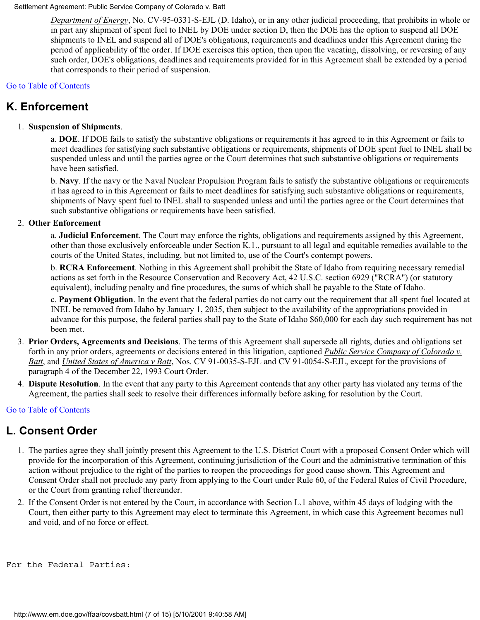*Department of Energy*, No. CV-95-0331-S-EJL (D. Idaho), or in any other judicial proceeding, that prohibits in whole or in part any shipment of spent fuel to INEL by DOE under section D, then the DOE has the option to suspend all DOE shipments to INEL and suspend all of DOE's obligations, requirements and deadlines under this Agreement during the period of applicability of the order. If DOE exercises this option, then upon the vacating, dissolving, or reversing of any such order, DOE's obligations, deadlines and requirements provided for in this Agreement shall be extended by a period that corresponds to their period of suspension.

### [Go to Table of Contents](#page-0-1)

## <span id="page-6-0"></span>**K. Enforcement**

### 1. **Suspension of Shipments**.

a. **DOE**. If DOE fails to satisfy the substantive obligations or requirements it has agreed to in this Agreement or fails to meet deadlines for satisfying such substantive obligations or requirements, shipments of DOE spent fuel to INEL shall be suspended unless and until the parties agree or the Court determines that such substantive obligations or requirements have been satisfied.

b. **Navy**. If the navy or the Naval Nuclear Propulsion Program fails to satisfy the substantive obligations or requirements it has agreed to in this Agreement or fails to meet deadlines for satisfying such substantive obligations or requirements, shipments of Navy spent fuel to INEL shall to suspended unless and until the parties agree or the Court determines that such substantive obligations or requirements have been satisfied.

### 2. **Other Enforcement**

a. **Judicial Enforcement**. The Court may enforce the rights, obligations and requirements assigned by this Agreement, other than those exclusively enforceable under Section K.1., pursuant to all legal and equitable remedies available to the courts of the United States, including, but not limited to, use of the Court's contempt powers.

b. **RCRA Enforcement**. Nothing in this Agreement shall prohibit the State of Idaho from requiring necessary remedial actions as set forth in the Resource Conservation and Recovery Act, 42 U.S.C. section 6929 ("RCRA") (or statutory equivalent), including penalty and fine procedures, the sums of which shall be payable to the State of Idaho.

c. **Payment Obligation**. In the event that the federal parties do not carry out the requirement that all spent fuel located at INEL be removed from Idaho by January 1, 2035, then subject to the availability of the appropriations provided in advance for this purpose, the federal parties shall pay to the State of Idaho \$60,000 for each day such requirement has not been met.

- 3. **Prior Orders, Agreements and Decisions**. The terms of this Agreement shall supersede all rights, duties and obligations set forth in any prior orders, agreements or decisions entered in this litigation, captioned *Public Service Company of Colorado v. Batt*, and *United States of America v Batt*, Nos. CV 91-0035-S-EJL and CV 91-0054-S-EJL, except for the provisions of paragraph 4 of the December 22, 1993 Court Order.
- 4. **Dispute Resolution**. In the event that any party to this Agreement contends that any other party has violated any terms of the Agreement, the parties shall seek to resolve their differences informally before asking for resolution by the Court.

### [Go to Table of Contents](#page-0-1)

### <span id="page-6-1"></span>**L. Consent Order**

- 1. The parties agree they shall jointly present this Agreement to the U.S. District Court with a proposed Consent Order which will provide for the incorporation of this Agreement, continuing jurisdiction of the Court and the administrative termination of this action without prejudice to the right of the parties to reopen the proceedings for good cause shown. This Agreement and Consent Order shall not preclude any party from applying to the Court under Rule 60, of the Federal Rules of Civil Procedure, or the Court from granting relief thereunder.
- 2. If the Consent Order is not entered by the Court, in accordance with Section L.1 above, within 45 days of lodging with the Court, then either party to this Agreement may elect to terminate this Agreement, in which case this Agreement becomes null and void, and of no force or effect.

```
For the Federal Parties:
```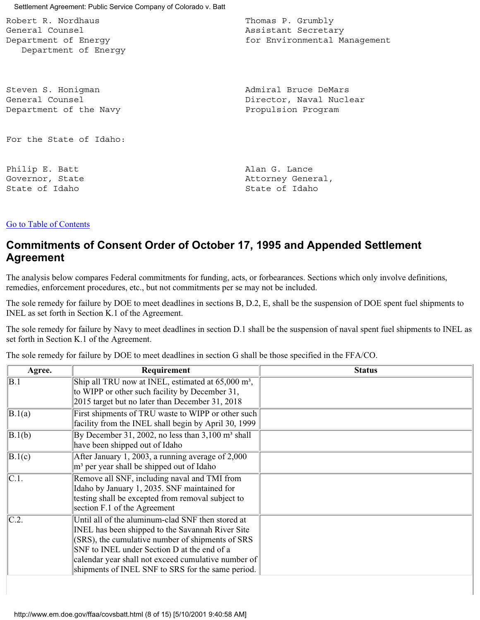Settlement Agreement: Public Service Company of Colorado v. Batt Robert R. Nordhaus **Thomas P. Grumbly** General Counsel Assistant Secretary Department of Energy entitled and the for Environmental Management Department of Energy Steven S. Honigman General Counsel Department of the Navy For the State of Idaho: Philip E. Batt Governor, State State of Idaho Admiral Bruce DeMars Director, Naval Nuclear Propulsion Program Alan G. Lance Attorney General, State of Idaho

#### [Go to Table of Contents](#page-0-1)

## **Commitments of Consent Order of October 17, 1995 and Appended Settlement Agreement**

The analysis below compares Federal commitments for funding, acts, or forbearances. Sections which only involve definitions, remedies, enforcement procedures, etc., but not commitments per se may not be included.

The sole remedy for failure by DOE to meet deadlines in sections B, D.2, E, shall be the suspension of DOE spent fuel shipments to INEL as set forth in Section K.1 of the Agreement.

The sole remedy for failure by Navy to meet deadlines in section D.1 shall be the suspension of naval spent fuel shipments to INEL as set forth in Section K.1 of the Agreement.

The sole remedy for failure by DOE to meet deadlines in section G shall be those specified in the FFA/CO.

| Agree.             | Requirement                                                                                                                                                                                                                                                                                                                     | <b>Status</b> |
|--------------------|---------------------------------------------------------------------------------------------------------------------------------------------------------------------------------------------------------------------------------------------------------------------------------------------------------------------------------|---------------|
| B.1                | Ship all TRU now at INEL, estimated at 65,000 m <sup>3</sup> ,<br>to WIPP or other such facility by December 31,<br>2015 target but no later than December 31, 2018                                                                                                                                                             |               |
| B.1(a)             | First shipments of TRU waste to WIPP or other such<br>facility from the INEL shall begin by April 30, 1999                                                                                                                                                                                                                      |               |
| B.1(b)             | By December 31, 2002, no less than $3,100 \text{ m}^3$ shall<br>have been shipped out of Idaho                                                                                                                                                                                                                                  |               |
| B.1(c)             | After January 1, 2003, a running average of $2,000$<br>$ m^3$ per year shall be shipped out of Idaho                                                                                                                                                                                                                            |               |
| $\overline{C.1}$ . | Remove all SNF, including naval and TMI from<br>Idaho by January 1, 2035. SNF maintained for<br>testing shall be excepted from removal subject to<br>section F.1 of the Agreement                                                                                                                                               |               |
| $\overline{C.2.}$  | Until all of the aluminum-clad SNF then stored at<br><b>INEL</b> has been shipped to the Savannah River Site<br>$ $ (SRS), the cumulative number of shipments of SRS<br>SNF to INEL under Section D at the end of a<br>calendar year shall not exceed cumulative number of<br>shipments of INEL SNF to SRS for the same period. |               |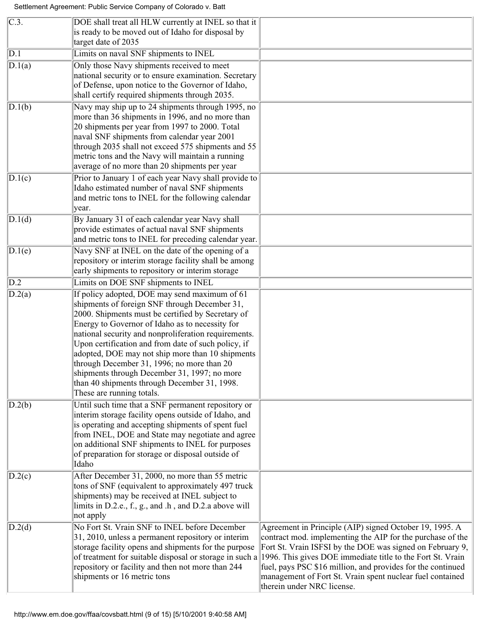| $\overline{C.3}$ .   | DOE shall treat all HLW currently at INEL so that it<br>is ready to be moved out of Idaho for disposal by<br>target date of 2035                                                                                                                                                                                                                                                                                                                                                                                                                     |                                                                                                                                                                                                                                                                                                                                                                                                            |
|----------------------|------------------------------------------------------------------------------------------------------------------------------------------------------------------------------------------------------------------------------------------------------------------------------------------------------------------------------------------------------------------------------------------------------------------------------------------------------------------------------------------------------------------------------------------------------|------------------------------------------------------------------------------------------------------------------------------------------------------------------------------------------------------------------------------------------------------------------------------------------------------------------------------------------------------------------------------------------------------------|
| $\overline{D.1}$     | Limits on naval SNF shipments to INEL                                                                                                                                                                                                                                                                                                                                                                                                                                                                                                                |                                                                                                                                                                                                                                                                                                                                                                                                            |
| $\overline{D}$ .1(a) | Only those Navy shipments received to meet<br>national security or to ensure examination. Secretary<br>of Defense, upon notice to the Governor of Idaho,<br>shall certify required shipments through 2035.                                                                                                                                                                                                                                                                                                                                           |                                                                                                                                                                                                                                                                                                                                                                                                            |
| D.1(b)               | Navy may ship up to 24 shipments through 1995, no<br>more than 36 shipments in 1996, and no more than<br>20 shipments per year from 1997 to 2000. Total<br>naval SNF shipments from calendar year 2001<br>through 2035 shall not exceed 575 shipments and 55<br>metric tons and the Navy will maintain a running<br>average of no more than 20 shipments per year                                                                                                                                                                                    |                                                                                                                                                                                                                                                                                                                                                                                                            |
| D.1(c)               | Prior to January 1 of each year Navy shall provide to<br>Idaho estimated number of naval SNF shipments<br>and metric tons to INEL for the following calendar<br>year.                                                                                                                                                                                                                                                                                                                                                                                |                                                                                                                                                                                                                                                                                                                                                                                                            |
| $\overline{D.1(d)}$  | By January 31 of each calendar year Navy shall<br>provide estimates of actual naval SNF shipments<br>and metric tons to INEL for preceding calendar year.                                                                                                                                                                                                                                                                                                                                                                                            |                                                                                                                                                                                                                                                                                                                                                                                                            |
| D.1(e)               | Navy SNF at INEL on the date of the opening of a<br>repository or interim storage facility shall be among<br>early shipments to repository or interim storage                                                                                                                                                                                                                                                                                                                                                                                        |                                                                                                                                                                                                                                                                                                                                                                                                            |
| D.2                  | Limits on DOE SNF shipments to INEL                                                                                                                                                                                                                                                                                                                                                                                                                                                                                                                  |                                                                                                                                                                                                                                                                                                                                                                                                            |
| D.2(a)               | If policy adopted, DOE may send maximum of 61<br>shipments of foreign SNF through December 31,<br>2000. Shipments must be certified by Secretary of<br>Energy to Governor of Idaho as to necessity for<br>national security and nonproliferation requirements.<br>Upon certification and from date of such policy, if<br>adopted, DOE may not ship more than 10 shipments<br>through December 31, 1996; no more than 20<br>shipments through December 31, 1997; no more<br>than 40 shipments through December 31, 1998.<br>These are running totals. |                                                                                                                                                                                                                                                                                                                                                                                                            |
| D.2(b)               | Until such time that a SNF permanent repository or<br>interim storage facility opens outside of Idaho, and<br>is operating and accepting shipments of spent fuel<br>from INEL, DOE and State may negotiate and agree<br>on additional SNF shipments to INEL for purposes<br>of preparation for storage or disposal outside of<br>Idaho                                                                                                                                                                                                               |                                                                                                                                                                                                                                                                                                                                                                                                            |
| D.2(c)               | After December 31, 2000, no more than 55 metric<br>tons of SNF (equivalent to approximately 497 truck<br>shipments) may be received at INEL subject to<br>limits in D.2.e., f., g., and .h, and D.2.a above will<br>not apply                                                                                                                                                                                                                                                                                                                        |                                                                                                                                                                                                                                                                                                                                                                                                            |
| D.2(d)               | No Fort St. Vrain SNF to INEL before December<br>31, 2010, unless a permanent repository or interim<br>storage facility opens and shipments for the purpose<br>of treatment for suitable disposal or storage in such a<br>repository or facility and then not more than 244<br>shipments or 16 metric tons                                                                                                                                                                                                                                           | Agreement in Principle (AIP) signed October 19, 1995. A<br>contract mod. implementing the AIP for the purchase of the<br>Fort St. Vrain ISFSI by the DOE was signed on February 9,<br>1996. This gives DOE immediate title to the Fort St. Vrain<br>fuel, pays PSC \$16 million, and provides for the continued<br>management of Fort St. Vrain spent nuclear fuel contained<br>therein under NRC license. |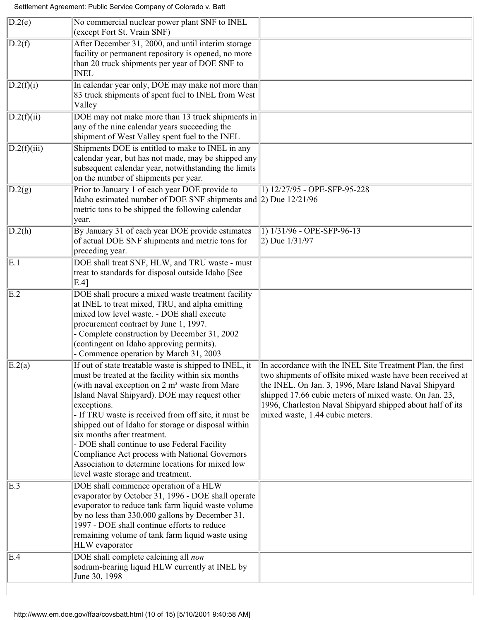| $\overline{D.2}$ (e) | No commercial nuclear power plant SNF to INEL<br>(except Fort St. Vrain SNF)                                                                                                                                                                                                                                                                                                                                                                                                                                                                                                      |                                                                                                                                                                                                                                                                                                                                             |
|----------------------|-----------------------------------------------------------------------------------------------------------------------------------------------------------------------------------------------------------------------------------------------------------------------------------------------------------------------------------------------------------------------------------------------------------------------------------------------------------------------------------------------------------------------------------------------------------------------------------|---------------------------------------------------------------------------------------------------------------------------------------------------------------------------------------------------------------------------------------------------------------------------------------------------------------------------------------------|
| D.2(f)               | After December 31, 2000, and until interim storage<br>facility or permanent repository is opened, no more<br>than 20 truck shipments per year of DOE SNF to<br><b>INEL</b>                                                                                                                                                                                                                                                                                                                                                                                                        |                                                                                                                                                                                                                                                                                                                                             |
| D.2(f)(i)            | In calendar year only, DOE may make not more than<br>83 truck shipments of spent fuel to INEL from West<br>Valley                                                                                                                                                                                                                                                                                                                                                                                                                                                                 |                                                                                                                                                                                                                                                                                                                                             |
| D.2(f)(ii)           | DOE may not make more than 13 truck shipments in<br>any of the nine calendar years succeeding the<br>shipment of West Valley spent fuel to the INEL                                                                                                                                                                                                                                                                                                                                                                                                                               |                                                                                                                                                                                                                                                                                                                                             |
| D.2(f)(iii)          | Shipments DOE is entitled to make to INEL in any<br>calendar year, but has not made, may be shipped any<br>subsequent calendar year, notwithstanding the limits<br>on the number of shipments per year.                                                                                                                                                                                                                                                                                                                                                                           |                                                                                                                                                                                                                                                                                                                                             |
| D.2(g)               | Prior to January 1 of each year DOE provide to<br>Idaho estimated number of DOE SNF shipments and $ 2$ ) Due 12/21/96<br>metric tons to be shipped the following calendar<br>year.                                                                                                                                                                                                                                                                                                                                                                                                | 1) 12/27/95 - OPE-SFP-95-228                                                                                                                                                                                                                                                                                                                |
| D.2(h)               | By January 31 of each year DOE provide estimates<br>of actual DOE SNF shipments and metric tons for<br>preceding year.                                                                                                                                                                                                                                                                                                                                                                                                                                                            | 1) 1/31/96 - OPE-SFP-96-13<br>$ 2)$ Due $1/31/97$                                                                                                                                                                                                                                                                                           |
| $\overline{E.1}$     | DOE shall treat SNF, HLW, and TRU waste - must<br>treat to standards for disposal outside Idaho [See<br>$E.4$ ]                                                                                                                                                                                                                                                                                                                                                                                                                                                                   |                                                                                                                                                                                                                                                                                                                                             |
| $\overline{E.2}$     | DOE shall procure a mixed waste treatment facility<br>at INEL to treat mixed, TRU, and alpha emitting<br>mixed low level waste. - DOE shall execute<br>procurement contract by June 1, 1997.<br>- Complete construction by December 31, 2002<br>(contingent on Idaho approving permits).<br>- Commence operation by March 31, 2003                                                                                                                                                                                                                                                |                                                                                                                                                                                                                                                                                                                                             |
| $\vert$ E.2(a)       | If out of state treatable waste is shipped to INEL, it<br>must be treated at the facility within six months<br>(with naval exception on $2 \text{ m}^3$ waste from Mare<br>Island Naval Shipyard). DOE may request other<br>exceptions.<br>- If TRU waste is received from off site, it must be<br>shipped out of Idaho for storage or disposal within<br>six months after treatment.<br>- DOE shall continue to use Federal Facility<br>Compliance Act process with National Governors<br>Association to determine locations for mixed low<br>level waste storage and treatment. | In accordance with the INEL Site Treatment Plan, the first<br>two shipments of offsite mixed waste have been received at<br>the INEL. On Jan. 3, 1996, Mare Island Naval Shipyard<br>shipped 17.66 cubic meters of mixed waste. On Jan. 23,<br>1996, Charleston Naval Shipyard shipped about half of its<br>mixed waste, 1.44 cubic meters. |
| E.3                  | DOE shall commence operation of a HLW<br>evaporator by October 31, 1996 - DOE shall operate<br>evaporator to reduce tank farm liquid waste volume<br>by no less than 330,000 gallons by December 31,<br>1997 - DOE shall continue efforts to reduce<br>remaining volume of tank farm liquid waste using<br>HLW evaporator                                                                                                                                                                                                                                                         |                                                                                                                                                                                                                                                                                                                                             |
| E.4                  | DOE shall complete calcining all non<br>sodium-bearing liquid HLW currently at INEL by<br>June 30, 1998                                                                                                                                                                                                                                                                                                                                                                                                                                                                           |                                                                                                                                                                                                                                                                                                                                             |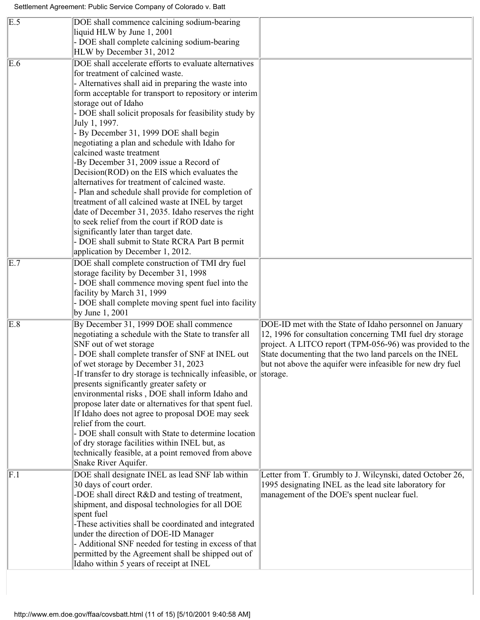| $\overline{E.5}$ | DOE shall commence calcining sodium-bearing<br>liquid HLW by June 1, 2001<br>- DOE shall complete calcining sodium-bearing<br>HLW by December 31, 2012                                                                                                                                                                                                                                                                                                                                                                                                                                                                                                                                                                                                                                                                                                                                                                               |                                                                                                                                                                                                                                                                                                           |
|------------------|--------------------------------------------------------------------------------------------------------------------------------------------------------------------------------------------------------------------------------------------------------------------------------------------------------------------------------------------------------------------------------------------------------------------------------------------------------------------------------------------------------------------------------------------------------------------------------------------------------------------------------------------------------------------------------------------------------------------------------------------------------------------------------------------------------------------------------------------------------------------------------------------------------------------------------------|-----------------------------------------------------------------------------------------------------------------------------------------------------------------------------------------------------------------------------------------------------------------------------------------------------------|
| $\overline{E.6}$ | DOE shall accelerate efforts to evaluate alternatives<br>for treatment of calcined waste.<br>- Alternatives shall aid in preparing the waste into<br>form acceptable for transport to repository or interim<br>storage out of Idaho<br>- DOE shall solicit proposals for feasibility study by<br>July 1, 1997.<br>- By December 31, 1999 DOE shall begin<br>negotiating a plan and schedule with Idaho for<br>calcined waste treatment<br>-By December 31, 2009 issue a Record of<br>Decision(ROD) on the EIS which evaluates the<br>alternatives for treatment of calcined waste.<br>- Plan and schedule shall provide for completion of<br>treatment of all calcined waste at INEL by target<br>date of December 31, 2035. Idaho reserves the right<br>to seek relief from the court if ROD date is<br>significantly later than target date.<br>- DOE shall submit to State RCRA Part B permit<br>application by December 1, 2012. |                                                                                                                                                                                                                                                                                                           |
| $\overline{E.7}$ | DOE shall complete construction of TMI dry fuel<br>storage facility by December 31, 1998<br>- DOE shall commence moving spent fuel into the<br>facility by March 31, 1999<br>- DOE shall complete moving spent fuel into facility<br>by June 1, 2001                                                                                                                                                                                                                                                                                                                                                                                                                                                                                                                                                                                                                                                                                 |                                                                                                                                                                                                                                                                                                           |
| $\overline{E.8}$ | By December 31, 1999 DOE shall commence<br>negotiating a schedule with the State to transfer all<br>SNF out of wet storage<br>- DOE shall complete transfer of SNF at INEL out<br>of wet storage by December 31, 2023<br>-If transfer to dry storage is technically infeasible, or storage.<br>presents significantly greater safety or<br>environmental risks, DOE shall inform Idaho and<br>propose later date or alternatives for that spent fuel.<br>If Idaho does not agree to proposal DOE may seek<br>relief from the court.<br>- DOE shall consult with State to determine location<br>of dry storage facilities within INEL but, as<br>technically feasible, at a point removed from above<br>Snake River Aquifer.                                                                                                                                                                                                          | DOE-ID met with the State of Idaho personnel on January<br>12, 1996 for consultation concerning TMI fuel dry storage<br>project. A LITCO report (TPM-056-96) was provided to the<br>State documenting that the two land parcels on the INEL<br>but not above the aquifer were infeasible for new dry fuel |
| F.1              | DOE shall designate INEL as lead SNF lab within<br>30 days of court order.<br>-DOE shall direct R&D and testing of treatment,<br>shipment, and disposal technologies for all DOE<br>spent fuel<br>-These activities shall be coordinated and integrated<br>under the direction of DOE-ID Manager<br>- Additional SNF needed for testing in excess of that<br>permitted by the Agreement shall be shipped out of<br>Idaho within 5 years of receipt at INEL                                                                                                                                                                                                                                                                                                                                                                                                                                                                           | Letter from T. Grumbly to J. Wilcynski, dated October 26,<br>1995 designating INEL as the lead site laboratory for<br>management of the DOE's spent nuclear fuel.                                                                                                                                         |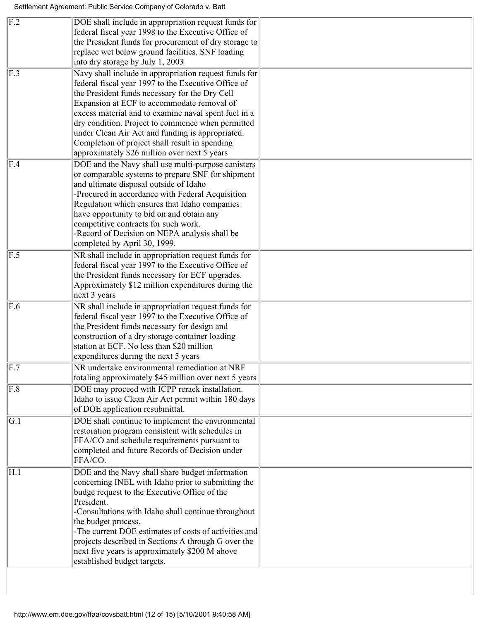|                           | and ultimate disposal outside of Idaho                                                                     |  |
|---------------------------|------------------------------------------------------------------------------------------------------------|--|
|                           | or comparable systems to prepare SNF for shipment                                                          |  |
|                           | -Procured in accordance with Federal Acquisition                                                           |  |
|                           | Regulation which ensures that Idaho companies                                                              |  |
|                           | have opportunity to bid on and obtain any                                                                  |  |
|                           | competitive contracts for such work.                                                                       |  |
|                           | -Record of Decision on NEPA analysis shall be<br>completed by April 30, 1999.                              |  |
| $\overline{F.5}$          | NR shall include in appropriation request funds for                                                        |  |
|                           | federal fiscal year 1997 to the Executive Office of                                                        |  |
|                           | the President funds necessary for ECF upgrades.                                                            |  |
|                           | Approximately \$12 million expenditures during the                                                         |  |
| $\overline{F.6}$          | next 3 years                                                                                               |  |
|                           | NR shall include in appropriation request funds for<br>federal fiscal year 1997 to the Executive Office of |  |
|                           | the President funds necessary for design and                                                               |  |
|                           | construction of a dry storage container loading                                                            |  |
|                           | station at ECF. No less than \$20 million                                                                  |  |
|                           | expenditures during the next 5 years                                                                       |  |
| $\overline{F.7}$          | NR undertake environmental remediation at NRF                                                              |  |
|                           | totaling approximately \$45 million over next 5 years                                                      |  |
| $\overline{\mathrm{F.8}}$ | DOE may proceed with ICPP rerack installation.                                                             |  |
|                           | Idaho to issue Clean Air Act permit within 180 days<br>of DOE application resubmittal.                     |  |
| $\overline{G.1}$          | DOE shall continue to implement the environmental                                                          |  |
|                           | restoration program consistent with schedules in                                                           |  |
|                           | FFA/CO and schedule requirements pursuant to                                                               |  |
|                           | completed and future Records of Decision under                                                             |  |
|                           | FFA/CO.                                                                                                    |  |
| H.1                       | DOE and the Navy shall share budget information                                                            |  |
|                           | concerning INEL with Idaho prior to submitting the                                                         |  |
|                           | budge request to the Executive Office of the                                                               |  |
|                           | President.                                                                                                 |  |
|                           | -Consultations with Idaho shall continue throughout                                                        |  |
|                           | the budget process.<br>-The current DOE estimates of costs of activities and                               |  |
|                           | projects described in Sections A through G over the                                                        |  |
|                           |                                                                                                            |  |
|                           | next five years is approximately \$200 M above                                                             |  |

i.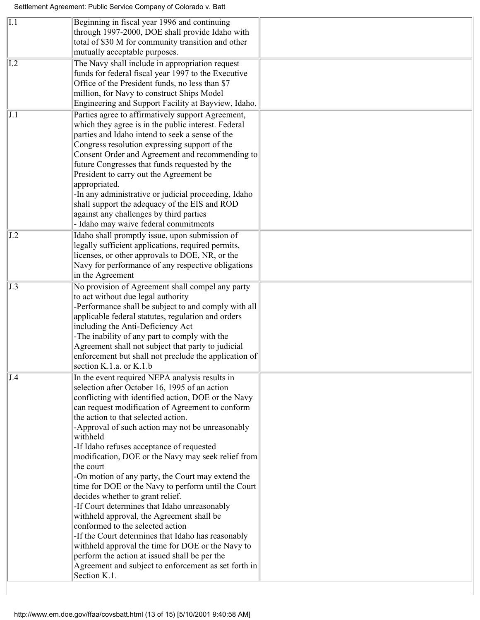| I.1                      | Beginning in fiscal year 1996 and continuing<br>through 1997-2000, DOE shall provide Idaho with<br>total of \$30 M for community transition and other<br>mutually acceptable purposes.                                                                                                                                                                                                                                                                                                                                                                                                                                                                                                                                                                                                                                                                                                                                                                 |  |
|--------------------------|--------------------------------------------------------------------------------------------------------------------------------------------------------------------------------------------------------------------------------------------------------------------------------------------------------------------------------------------------------------------------------------------------------------------------------------------------------------------------------------------------------------------------------------------------------------------------------------------------------------------------------------------------------------------------------------------------------------------------------------------------------------------------------------------------------------------------------------------------------------------------------------------------------------------------------------------------------|--|
| $\overline{1.2}$         | The Navy shall include in appropriation request<br>funds for federal fiscal year 1997 to the Executive<br>Office of the President funds, no less than \$7<br>million, for Navy to construct Ships Model<br>Engineering and Support Facility at Bayview, Idaho.                                                                                                                                                                                                                                                                                                                                                                                                                                                                                                                                                                                                                                                                                         |  |
| J.1                      | Parties agree to affirmatively support Agreement,<br>which they agree is in the public interest. Federal<br>parties and Idaho intend to seek a sense of the<br>Congress resolution expressing support of the<br>Consent Order and Agreement and recommending to<br>future Congresses that funds requested by the<br>President to carry out the Agreement be<br>appropriated.<br>-In any administrative or judicial proceeding, Idaho<br>shall support the adequacy of the EIS and ROD<br>against any challenges by third parties<br>Idaho may waive federal commitments                                                                                                                                                                                                                                                                                                                                                                                |  |
| J.2                      | Idaho shall promptly issue, upon submission of<br>legally sufficient applications, required permits,<br>licenses, or other approvals to DOE, NR, or the<br>Navy for performance of any respective obligations<br>in the Agreement                                                                                                                                                                                                                                                                                                                                                                                                                                                                                                                                                                                                                                                                                                                      |  |
| J.3                      | No provision of Agreement shall compel any party<br>to act without due legal authority<br>-Performance shall be subject to and comply with all<br>applicable federal statutes, regulation and orders<br>including the Anti-Deficiency Act<br>-The inability of any part to comply with the<br>Agreement shall not subject that party to judicial<br>enforcement but shall not preclude the application of<br>section K.1.a. or K.1.b                                                                                                                                                                                                                                                                                                                                                                                                                                                                                                                   |  |
| $\overline{\mathrm{J}4}$ | In the event required NEPA analysis results in<br>selection after October 16, 1995 of an action<br>conflicting with identified action, DOE or the Navy<br>can request modification of Agreement to conform<br>the action to that selected action.<br>-Approval of such action may not be unreasonably<br>withheld<br>-If Idaho refuses acceptance of requested<br>modification, DOE or the Navy may seek relief from<br>the court<br>-On motion of any party, the Court may extend the<br>time for DOE or the Navy to perform until the Court<br>decides whether to grant relief.<br>-If Court determines that Idaho unreasonably<br>withheld approval, the Agreement shall be<br>conformed to the selected action<br>-If the Court determines that Idaho has reasonably<br>withheld approval the time for DOE or the Navy to<br>perform the action at issued shall be per the<br>Agreement and subject to enforcement as set forth in<br>Section K.1. |  |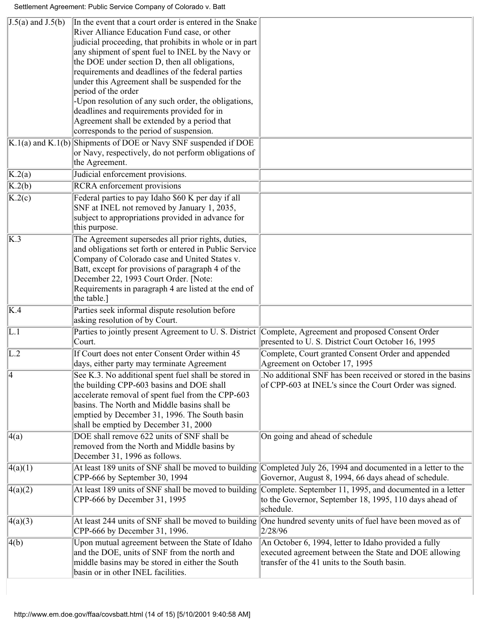<span id="page-13-0"></span>

| $J.5(a)$ and $J.5(b)$             | In the event that a court order is entered in the Snake                                   |                                                              |
|-----------------------------------|-------------------------------------------------------------------------------------------|--------------------------------------------------------------|
|                                   | River Alliance Education Fund case, or other                                              |                                                              |
|                                   | judicial proceeding, that prohibits in whole or in part                                   |                                                              |
|                                   | any shipment of spent fuel to INEL by the Navy or                                         |                                                              |
|                                   | the DOE under section D, then all obligations,                                            |                                                              |
|                                   | requirements and deadlines of the federal parties                                         |                                                              |
|                                   | under this Agreement shall be suspended for the                                           |                                                              |
|                                   | period of the order                                                                       |                                                              |
|                                   | -Upon resolution of any such order, the obligations,                                      |                                                              |
|                                   | deadlines and requirements provided for in                                                |                                                              |
|                                   | Agreement shall be extended by a period that                                              |                                                              |
|                                   | corresponds to the period of suspension.                                                  |                                                              |
|                                   | $\overline{K.1(a)}$ and $\overline{K.1(b)}$ Shipments of DOE or Navy SNF suspended if DOE |                                                              |
|                                   | or Navy, respectively, do not perform obligations of                                      |                                                              |
|                                   | the Agreement.                                                                            |                                                              |
| K.2(a)                            | Judicial enforcement provisions.                                                          |                                                              |
| $\overline{K.2(b)}$               | RCRA enforcement provisions                                                               |                                                              |
| $\overline{\text{K}.2(\text{c})}$ | Federal parties to pay Idaho \$60 K per day if all                                        |                                                              |
|                                   | SNF at INEL not removed by January 1, 2035,                                               |                                                              |
|                                   | subject to appropriations provided in advance for                                         |                                                              |
|                                   | this purpose.                                                                             |                                                              |
| $\overline{K.3}$                  | The Agreement supersedes all prior rights, duties,                                        |                                                              |
|                                   | and obligations set forth or entered in Public Service                                    |                                                              |
|                                   | Company of Colorado case and United States v.                                             |                                                              |
|                                   | Batt, except for provisions of paragraph 4 of the                                         |                                                              |
|                                   | December 22, 1993 Court Order. [Note:                                                     |                                                              |
|                                   | Requirements in paragraph 4 are listed at the end of                                      |                                                              |
|                                   | the table.]                                                                               |                                                              |
| K.4                               | Parties seek informal dispute resolution before                                           |                                                              |
|                                   | asking resolution of by Court.                                                            |                                                              |
| $\overline{L.1}$                  | Parties to jointly present Agreement to U.S. District                                     | Complete, Agreement and proposed Consent Order               |
|                                   | Court.                                                                                    | presented to U.S. District Court October 16, 1995            |
| $\overline{\mathrm{L}.2}$         | If Court does not enter Consent Order within 45                                           | Complete, Court granted Consent Order and appended           |
|                                   | days, either party may terminate Agreement                                                | Agreement on October 17, 1995                                |
| $\overline{4}$                    | See K.3. No additional spent fuel shall be stored in                                      | No additional SNF has been received or stored in the basins. |
|                                   | the building CPP-603 basins and DOE shall                                                 | of CPP-603 at INEL's since the Court Order was signed.       |
|                                   | accelerate removal of spent fuel from the CPP-603                                         |                                                              |
|                                   | basins. The North and Middle basins shall be                                              |                                                              |
|                                   | emptied by December 31, 1996. The South basin                                             |                                                              |
|                                   | shall be emptied by December 31, 2000                                                     |                                                              |
| $\overline{4}$ (a)                | DOE shall remove 622 units of SNF shall be                                                | On going and ahead of schedule                               |
|                                   | removed from the North and Middle basins by                                               |                                                              |
|                                   | December 31, 1996 as follows.                                                             |                                                              |
| 4(a)(1)                           | At least 189 units of SNF shall be moved to building                                      | Completed July 26, 1994 and documented in a letter to the    |
|                                   | CPP-666 by September 30, 1994                                                             | Governor, August 8, 1994, 66 days ahead of schedule.         |
|                                   |                                                                                           |                                                              |
| 4(a)(2)                           | At least 189 units of SNF shall be moved to building                                      | Complete. September 11, 1995, and documented in a letter     |
|                                   | CPP-666 by December 31, 1995                                                              | to the Governor, September 18, 1995, 110 days ahead of       |
|                                   |                                                                                           | schedule.                                                    |
| 4(a)(3)                           | At least 244 units of SNF shall be moved to building                                      | One hundred seventy units of fuel have been moved as of      |
|                                   | CPP-666 by December 31, 1996.                                                             | 2/28/96                                                      |
| 4(b)                              | Upon mutual agreement between the State of Idaho                                          | An October 6, 1994, letter to Idaho provided a fully         |
|                                   | and the DOE, units of SNF from the north and                                              | executed agreement between the State and DOE allowing        |
|                                   | middle basins may be stored in either the South                                           | transfer of the 41 units to the South basin.                 |
|                                   | basin or in other INEL facilities.                                                        |                                                              |
|                                   |                                                                                           |                                                              |